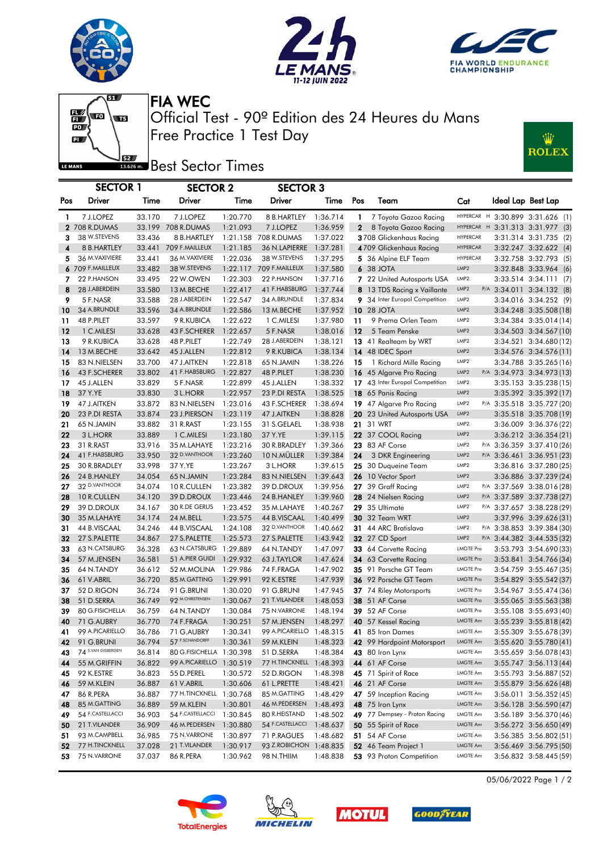





Ŵ

**ROLEX** 

 $\overline{\mathbf{w}}$  $\begin{array}{c} \begin{array}{c} \text{or} \end{array} \end{array}$  $\overline{\mathbf{p}}$ LE MANS

Free Practice 1 Test Day Official Test - 90º Edition des 24 Heures du Mans FIA WEC

**BEZ** Best Sector Times

|     | <b>SECTOR 1</b>    |        | <b>SECTOR 2</b>          |          | <b>SECTOR 3</b>          |          |              |                                 |                  |  |                                  |                        |  |
|-----|--------------------|--------|--------------------------|----------|--------------------------|----------|--------------|---------------------------------|------------------|--|----------------------------------|------------------------|--|
| Pos | Driver             | Time   | Driver                   | Time     | Driver                   | Time     | Pos          | Team                            | Cat              |  | Ideal Lap Best Lap               |                        |  |
| 1.  | 7 J.LOPEZ          | 33.170 | 7 J.LOPEZ                | 1:20.770 | 8 B.HARTLEY              | 1:36.714 | $\mathbf{1}$ | 7 Toyota Gazoo Racing           |                  |  | HYPERCAR H 3:30.899 3:31.626 (1) |                        |  |
|     | 2 708 R.DUMAS      |        | 33.199 708 R.DUMAS       | 1:21.093 | 7 J.LOPEZ                | 1:36.959 | $\mathbf{2}$ | 8 Toyota Gazoo Racing           |                  |  | HYPERCAR H 3:31.313 3:31.977 (3) |                        |  |
| 3   | 38 W.STEVENS       | 33.436 | 8 B.HARTLEY              |          | 1:21.158 708 R.DUMAS     | 1:37.022 |              | 3708 Glickenhaus Racing         | <b>HYPERCAR</b>  |  |                                  | 3:31.314 3:31.735 (2)  |  |
| 4   | 8 B.HARTLEY        | 33.441 | 709 F.MAILLEUX           | 1:21.185 | 36 N.LAPIERRE            | 1:37.281 |              | 4709 Glickenhaus Racing         | <b>HYPERCAR</b>  |  |                                  | 3:32.247 3:32.622 (4)  |  |
| 5   | 36 M.VAXIVIERE     | 33.441 | 36 M. VAXIVIERE          | 1:22.036 | 38 W.STEVENS             | 1:37.295 |              | 5 36 Alpine ELF Team            | <b>HYPERCAR</b>  |  |                                  | 3:32.758 3:32.793 (5)  |  |
|     | 6 709 F.MAILLEUX   | 33.482 | 38 W.STEVENS             | 1:22.117 | 709 F.MAILLEUX           | 1:37.580 |              | 6 38 JOTA                       | LMP <sub>2</sub> |  |                                  | 3:32.848 3:33.964 (6)  |  |
| 7   | 22 P.HANSON        | 33.495 | 22 W.OWEN                | 1:22.303 | 22 P.HANSON              | 1:37.716 |              | 7 22 United Autosports USA      | LMP2             |  |                                  | 3:33.514 3:34.111 (7)  |  |
| 8   | 28 J.ABERDEIN      | 33.580 | 13 M.BECHE               | 1:22.417 | 41 F.HABSBURG            | 1:37.744 |              | 8 13 TDS Racing x Vaillante     | LMP <sub>2</sub> |  | P/A 3:34.011 3:34.132 (8)        |                        |  |
| 9   | 5 F.NASR           | 33.588 | 28 J.ABERDEIN            | 1:22.547 | 34 A.BRUNDLE             | 1:37.834 |              | 9 34 Inter Europol Competition  | LMP2             |  |                                  | 3:34.016 3:34.252 (9)  |  |
| 10  | 34 A.BRUNDLE       | 33.596 | 34 A.BRUNDLE             | 1:22.586 | 13 M.BECHE               | 1:37.952 |              | <b>10 28 JOTA</b>               | LMP <sub>2</sub> |  |                                  | 3:34.248 3:35.508 (18) |  |
| 11  | 48 P.PILET         | 33.597 | 9 R.KUBICA               | 1:22.622 | 1 C.MILESI               | 1:37.980 | 11           | 9 Prema Orlen Team              | LMP <sub>2</sub> |  |                                  | 3:34.384 3:35.014 (14) |  |
| 12  | 1 C.MILESI         | 33.628 | 43 F.SCHERER             | 1:22.657 | 5 F.NASR                 | 1:38.016 | 12           | 5 Team Penske                   | LMP2             |  |                                  | 3:34.503 3:34.567 (10) |  |
| 13  | 9 R.KUBICA         | 33.628 | 48 P.PILET               | 1:22.749 | 28 J.ABERDEIN            | 1:38.121 |              | 13 41 Realteam by WRT           | LMP2             |  |                                  | 3:34.521 3:34.680 (12) |  |
| 14  | 13 M.BECHE         | 33.642 | 45 J.ALLEN               | 1:22.812 | 9 R.KUBICA               | 1:38.134 |              | 14 48 IDEC Sport                | LMP <sub>2</sub> |  |                                  | 3:34.576 3:34.576 (11) |  |
| 15  | 83 N.NIELSEN       | 33.700 | 47 J.AITKEN              | 1:22.818 | 65 N.JAMIN               | 1:38.226 | 15           | 1 Richard Mille Racing          | LMP2             |  |                                  | 3:34.788 3:35.265 (16) |  |
| 16  | 43 F.SCHERER       | 33.802 | 41 F.HABSBURG            | 1:22.827 | 48 P.PILET               | 1:38.230 |              | 16 45 Algarve Pro Racing        | LMP <sub>2</sub> |  | P/A 3:34.973 3:34.973 (13)       |                        |  |
| 17  | 45 J.ALLEN         | 33.829 | 5 F.NASR                 | 1:22.899 | 45 J.ALLEN               | 1:38.332 |              | 17 43 Inter Europol Competition | LMP <sub>2</sub> |  |                                  | 3:35.153 3:35.238 (15) |  |
| 18  | 37 Y.YE            | 33.830 | 3 L.HORR                 | 1:22.957 | 23 P.DI RESTA            | 1:38.525 |              | 18 65 Panis Racing              | LMP <sub>2</sub> |  |                                  | 3:35.392 3:35.392 (17) |  |
| 19  | 47 J.AITKEN        | 33.872 | 83 N.NIELSEN             | 1:23.016 | 43 F.SCHERER             | 1:38.694 |              | 19 47 Algarve Pro Racing        | LMP2             |  | P/A 3:35.518 3:35.727 (20)       |                        |  |
| 20  | 23 P.DI RESTA      | 33.874 | 23 J.PIERSON             | 1:23.119 | 47 J.AITKEN              | 1:38.828 |              | 20 23 United Autosports USA     | LMP <sub>2</sub> |  |                                  | 3:35.518 3:35.708 (19) |  |
| 21  | 65 N.JAMIN         | 33.882 | 31 R.RAST                | 1:23.155 | 31 S.GELAEL              | 1:38.938 |              | <b>21</b> 31 WRT                | LMP <sub>2</sub> |  |                                  | 3:36.009 3:36.376 (22) |  |
| 22  | 3 L.HORR           | 33.889 | 1 C.MILESI               | 1:23.180 | 37 Y.YE                  | 1:39.115 |              | 22 37 COOL Racing               | LMP <sub>2</sub> |  |                                  | 3:36.212 3:36.354 (21) |  |
| 23  | 31 R.RAST          | 33.916 | 35 M.LAHAYE              | 1:23.216 | 30 R.BRADLEY             | 1:39.366 |              | <b>23</b> 83 AF Corse           | LMP2             |  | P/A 3:36.359 3:37.410 (26)       |                        |  |
| 24  | 41 F.HABSBURG      | 33.950 | 32 D.VANTHOOR            | 1:23.260 | 10 N.MÜLLER              | 1:39.384 | 24           | 3 DKR Engineering               | LMP2             |  | P/A 3:36.461 3:36.951 (23)       |                        |  |
| 25  | 30 R.BRADLEY       | 33.998 | 37 Y.YE                  | 1:23.267 | 3 L.HORR                 | 1:39.615 |              | 25 30 Duqueine Team             | LMP <sub>2</sub> |  |                                  | 3:36.816 3:37.280 (25) |  |
| 26  | 24 B.HANLEY        | 34.054 | 65 N.JAMIN               | 1:23.284 | 83 N.NIELSEN             | 1:39.643 |              | 26 10 Vector Sport              | LMP <sub>2</sub> |  |                                  | 3:36.886 3:37.239 (24) |  |
| 27  | 32 D.VANTHOOR      | 34.074 | 10 R.CULLEN              | 1:23.382 | 39 D.DROUX               | 1:39.956 |              | 27 39 Graff Racing              | LMP2             |  | P/A 3:37.569 3:38.016 (28)       |                        |  |
| 28  | 10 R.CULLEN        | 34.120 | 39 D.DROUX               | 1:23.446 | 24 B.HANLEY              | 1:39.960 |              | 28 24 Nielsen Racing            | LMP <sub>2</sub> |  | P/A 3:37.589 3:37.738 (27)       |                        |  |
| 29  | 39 D.DROUX         | 34.167 | 30 R.DE GERUS            | 1:23.452 | 35 M.LAHAYE              | 1:40.267 |              | 29 35 Ultimate                  | LMP2             |  | P/A 3:37.657 3:38.228 (29)       |                        |  |
| 30  | 35 M.LAHAYE        | 34.174 | 24 M.BELL                | 1:23.575 | 44 B.VISCAAL             | 1:40.499 |              | <b>30</b> 32 Team WRT           | LMP <sub>2</sub> |  |                                  | 3:37.996 3:39.626 (31) |  |
| 31  | 44 B.VISCAAL       | 34.246 | 44 B.VISCAAL             | 1:24.108 | 32 D.VANTHOOR            | 1:40.662 |              | 31 44 ARC Bratislava            | LMP2             |  | P/A 3:38.853 3:39.384 (30)       |                        |  |
| 32  | 27 S.PALETTE       | 34.867 | 27 S.PALETTE             | 1:25.573 | 27 S.PALETTE             | 1:43.942 |              | <b>32</b> 27 CD Sport           | LMP <sub>2</sub> |  | P/A 3:44.382 3:44.535 (32)       |                        |  |
| 33  | 63 N.CATSBURG      | 36.328 | 63 N.CATSBURG 1:29.889   |          | 64 N.TANDY               | 1:47.097 |              | 33 64 Corvette Racing           | LMGTE Pro        |  |                                  | 3:53.793 3:54.690 (33) |  |
| 34  | 57 M.JENSEN        | 36.581 | 51 A.PIER GUIDI          | 1:29.932 | 63 J.TAYLOR              | 1:47.624 |              | 34 63 Corvette Racing           | <b>LMGTE Pro</b> |  |                                  | 3:53.841 3:54.766 (34) |  |
| 35  | 64 N.TANDY         | 36.612 | 52 M.MOLINA              | 1:29.986 | 74 F.FRAGA               | 1:47.902 |              | 35 91 Porsche GT Team           | LMGTE Pro        |  |                                  | 3:54.759 3:55.467 (35) |  |
| 36  | 61 V.ABRIL         | 36.720 | 85 M.GATTING             | 1:29.991 | 92 K.ESTRE               | 1:47.939 |              | 36 92 Porsche GT Team           | <b>LMGTE Pro</b> |  |                                  | 3:54.829 3:55.542 (37) |  |
| 37  | 52 D.RIGON         | 36.724 | 91 G.BRUNI               | 1:30.020 | 91 G.BRUNI               | 1:47.945 |              | 37 74 Riley Motorsports         | <b>LMGTE Pro</b> |  |                                  | 3:54.967 3:55.474 (36) |  |
| 38  | 51 D.SERRA         | 36.749 | 92 M.CHRISTENSEN         | 1:30.067 | 21 T.VILANDER            | 1:48.053 |              | <b>38</b> 51 AF Corse           | <b>LMGTE Pro</b> |  |                                  | 3:55.065 3:55.563 (38) |  |
| 39  | 80 G.FISICHELLA    | 36.759 | 64 N.TANDY               | 1:30.084 | 75 N.VARRONE             | 1:48.194 |              | 39 52 AF Corse                  | <b>LMGTE Pro</b> |  |                                  | 3:55.108 3:55.693 (40) |  |
| 40  | 71 G.AUBRY         | 36.770 | 74 F.FRAGA               | 1:30.251 | 57 M.JENSEN              | 1:48.297 |              | 40 57 Kessel Racing             | LMGTE Am         |  |                                  | 3:55.239 3:55.818 (42) |  |
| 41  | 99 A.PICARIELLO    | 36.786 | 71 G.AUBRY               | 1:30.341 | 99 A.PICARIELLO 1:48.315 |          |              | 41 85 Iron Dames                | LMGTE Am         |  |                                  | 3:55.309 3:55.678 (39) |  |
| 42  | 91 G.BRUNI         | 36.794 | 57 F.SCHANDORFF          | 1:30.361 | 59 M.KLEIN               | 1:48.323 |              | 42 99 Hardpoint Motorsport      | <b>LMGTE Am</b>  |  |                                  | 3:55.620 3:55.780 (41) |  |
| 43  | 74 S.VAN GISBERGEN | 36.814 | 80 G.FISICHELLA 1:30.398 |          | 51 D.SERRA               | 1:48.384 |              | 43 80 Iron Lynx                 | LMGTE Am         |  |                                  | 3:55.659 3:56.078 (43) |  |
| 44  | 55 M.GRIFFIN       | 36.822 | 99 A.PICARIELLO 1:30.519 |          | 77 H.TINCKNELL 1:48.393  |          |              | 44 61 AF Corse                  | LMGTE Am         |  |                                  | 3:55.747 3:56.113 (44) |  |
| 45  | 92 K.ESTRE         | 36.823 | 55 D.PEREL               | 1:30.572 | 52 D.RIGON               | 1:48.398 |              | 45 71 Spirit of Race            | LMGTE Am         |  |                                  | 3:55.793 3:56.887 (52) |  |
| 46  | 59 M.KLEIN         | 36.887 | 61 V.ABRIL               | 1:30.606 | 61 L.PRETTE              | 1:48.421 |              | <b>46</b> 21 AF Corse           | LMGTE Am         |  |                                  | 3:55.879 3:56.626 (48) |  |
| 47  | 86 R.PERA          | 36.887 | 77 H.TINCKNELL 1:30.768  |          | 85 M.GATTING             | 1:48.429 |              | 47 59 Inception Racing          | LMGTE Am         |  |                                  | 3:56.011 3:56.352 (45) |  |
| 48  | 85 M.GATTING       | 36.889 | 59 M.KLEIN               | 1:30.801 | 46 M.PEDERSEN            | 1:48.493 |              | 48 75 Iron Lynx                 | LMGTE Am         |  |                                  | 3:56.128 3:56.590 (47) |  |
| 49  | 54 F.CASTELLACCI   | 36.903 | 54 F.CASTELLACCI         | 1:30.845 | 80 R.HEISTAND            | 1:48.502 |              | 49 77 Dempsey - Proton Racing   | LMGTE Am         |  |                                  | 3:56.189 3:56.370 (46) |  |
| 50  | 21 T.VILANDER      | 36.909 | 46 M. PEDERSEN           | 1:30.880 | 54 F.CASTELLACCI         | 1:48.637 |              | 50 55 Spirit of Race            | LMGTE Am         |  |                                  | 3:56.272 3:56.650 (49) |  |
| 51  | 93 M.CAMPBELL      | 36.985 | 75 N.VARRONE             | 1:30.897 | 71 P.RAGUES              | 1:48.682 |              | 51 54 AF Corse                  | LMGTE Am         |  |                                  | 3:56.385 3:56.802 (51) |  |
| 52  | 77 H.TINCKNELL     | 37.028 | 21 T.VILANDER            | 1:30.917 | 93 Z.ROBICHON 1:48.835   |          |              | 52 46 Team Project 1            | LMGTE Am         |  |                                  | 3:56.469 3:56.795 (50) |  |
|     | 53 75 N. VARRONE   | 37.037 | 86 R.PERA                | 1:30.962 | 98 N.THIIM               | 1:48.838 |              | 53 93 Proton Competition        | LMGTE Am         |  |                                  | 3:56.832 3:58.445 (59) |  |









05/06/2022 Page 1 / 2